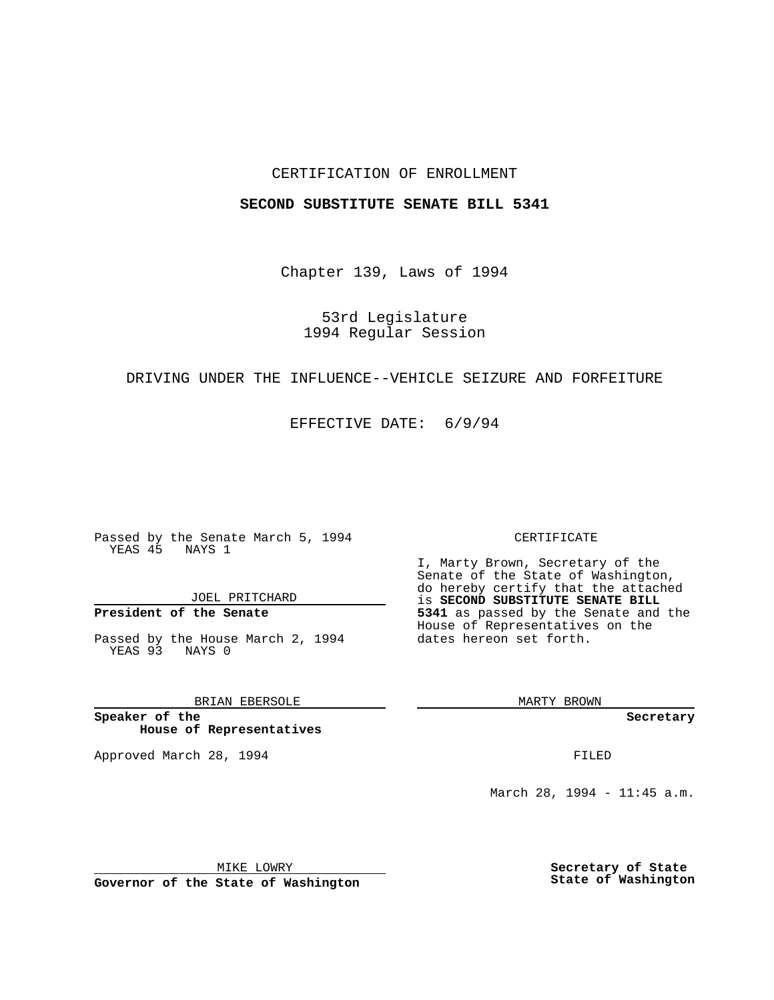## CERTIFICATION OF ENROLLMENT

## **SECOND SUBSTITUTE SENATE BILL 5341**

Chapter 139, Laws of 1994

53rd Legislature 1994 Regular Session

# DRIVING UNDER THE INFLUENCE--VEHICLE SEIZURE AND FORFEITURE

EFFECTIVE DATE: 6/9/94

Passed by the Senate March 5, 1994 YEAS 45 NAYS 1

JOEL PRITCHARD

**President of the Senate**

Passed by the House March 2, 1994 YEAS 93 NAYS 0

BRIAN EBERSOLE

**Speaker of the House of Representatives**

Approved March 28, 1994 **FILED** 

#### CERTIFICATE

I, Marty Brown, Secretary of the Senate of the State of Washington, do hereby certify that the attached **EXECOND SUBSTITUTE SENATE BILL 5341** as passed by the Senate and the House of Representatives on the dates hereon set forth.

MARTY BROWN

**Secretary**

March 28, 1994 - 11:45 a.m.

MIKE LOWRY **Governor of the State of Washington** **Secretary of State State of Washington**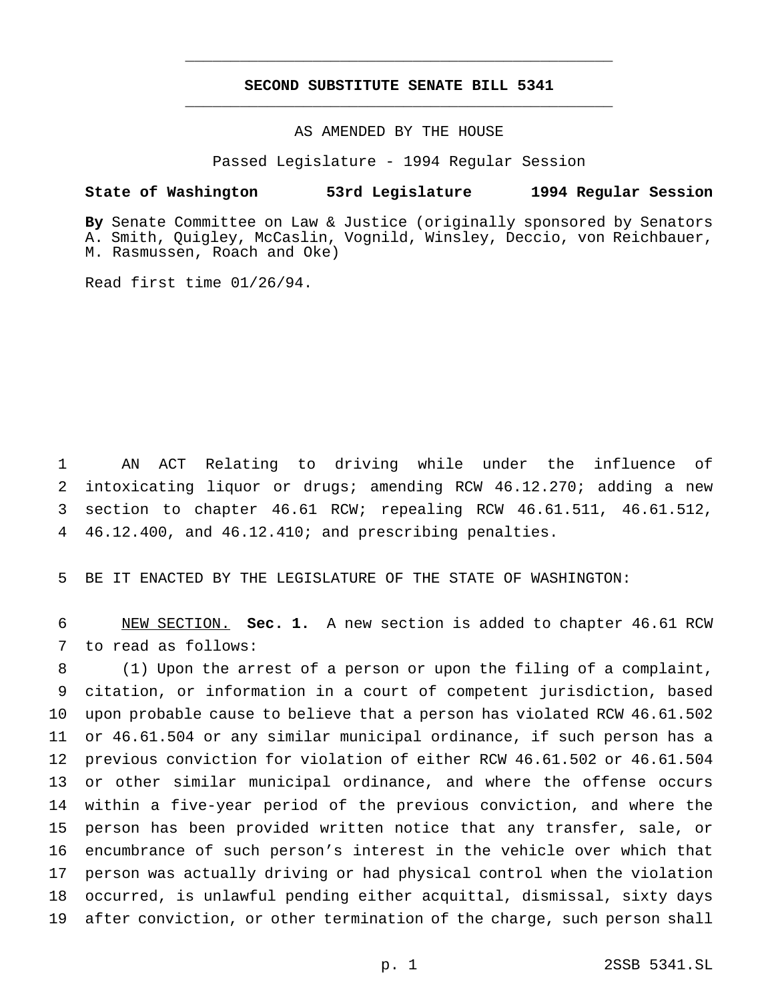# **SECOND SUBSTITUTE SENATE BILL 5341** \_\_\_\_\_\_\_\_\_\_\_\_\_\_\_\_\_\_\_\_\_\_\_\_\_\_\_\_\_\_\_\_\_\_\_\_\_\_\_\_\_\_\_\_\_\_\_

\_\_\_\_\_\_\_\_\_\_\_\_\_\_\_\_\_\_\_\_\_\_\_\_\_\_\_\_\_\_\_\_\_\_\_\_\_\_\_\_\_\_\_\_\_\_\_

# AS AMENDED BY THE HOUSE

Passed Legislature - 1994 Regular Session

### **State of Washington 53rd Legislature 1994 Regular Session**

**By** Senate Committee on Law & Justice (originally sponsored by Senators A. Smith, Quigley, McCaslin, Vognild, Winsley, Deccio, von Reichbauer, M. Rasmussen, Roach and Oke)

Read first time 01/26/94.

 AN ACT Relating to driving while under the influence of intoxicating liquor or drugs; amending RCW 46.12.270; adding a new section to chapter 46.61 RCW; repealing RCW 46.61.511, 46.61.512, 46.12.400, and 46.12.410; and prescribing penalties.

BE IT ENACTED BY THE LEGISLATURE OF THE STATE OF WASHINGTON:

 NEW SECTION. **Sec. 1.** A new section is added to chapter 46.61 RCW to read as follows:

 (1) Upon the arrest of a person or upon the filing of a complaint, citation, or information in a court of competent jurisdiction, based upon probable cause to believe that a person has violated RCW 46.61.502 or 46.61.504 or any similar municipal ordinance, if such person has a previous conviction for violation of either RCW 46.61.502 or 46.61.504 or other similar municipal ordinance, and where the offense occurs within a five-year period of the previous conviction, and where the person has been provided written notice that any transfer, sale, or encumbrance of such person's interest in the vehicle over which that person was actually driving or had physical control when the violation occurred, is unlawful pending either acquittal, dismissal, sixty days after conviction, or other termination of the charge, such person shall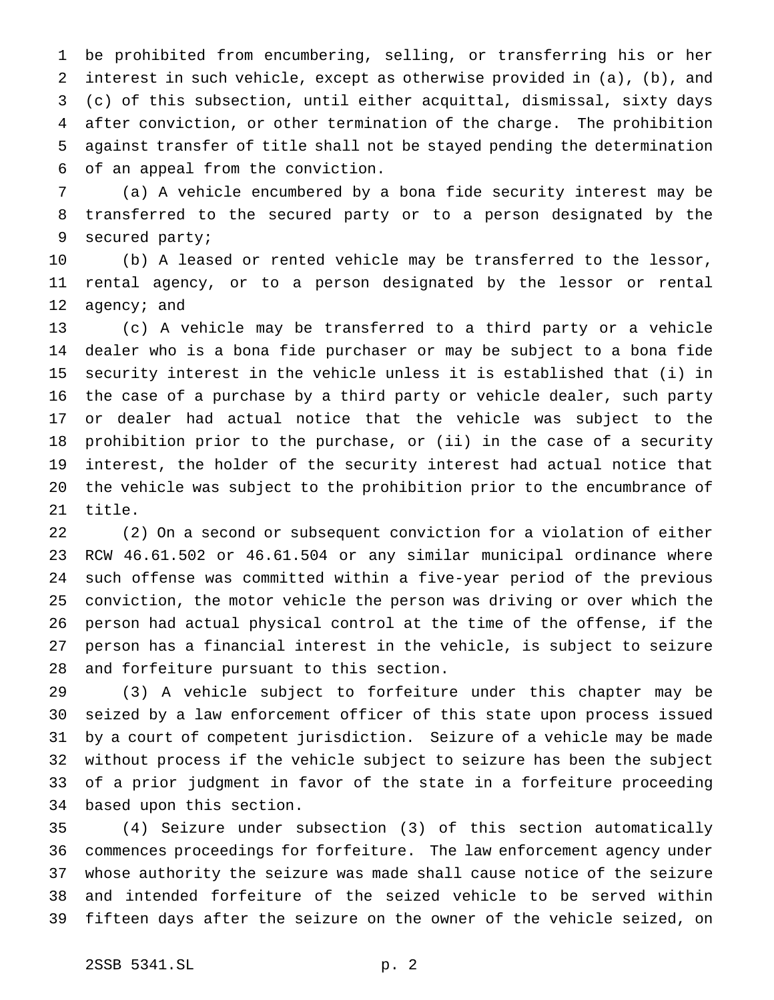be prohibited from encumbering, selling, or transferring his or her interest in such vehicle, except as otherwise provided in (a), (b), and (c) of this subsection, until either acquittal, dismissal, sixty days after conviction, or other termination of the charge. The prohibition against transfer of title shall not be stayed pending the determination of an appeal from the conviction.

 (a) A vehicle encumbered by a bona fide security interest may be transferred to the secured party or to a person designated by the secured party;

 (b) A leased or rented vehicle may be transferred to the lessor, rental agency, or to a person designated by the lessor or rental 12 agency; and

 (c) A vehicle may be transferred to a third party or a vehicle dealer who is a bona fide purchaser or may be subject to a bona fide security interest in the vehicle unless it is established that (i) in the case of a purchase by a third party or vehicle dealer, such party or dealer had actual notice that the vehicle was subject to the prohibition prior to the purchase, or (ii) in the case of a security interest, the holder of the security interest had actual notice that the vehicle was subject to the prohibition prior to the encumbrance of title.

 (2) On a second or subsequent conviction for a violation of either RCW 46.61.502 or 46.61.504 or any similar municipal ordinance where such offense was committed within a five-year period of the previous conviction, the motor vehicle the person was driving or over which the person had actual physical control at the time of the offense, if the person has a financial interest in the vehicle, is subject to seizure and forfeiture pursuant to this section.

 (3) A vehicle subject to forfeiture under this chapter may be seized by a law enforcement officer of this state upon process issued by a court of competent jurisdiction. Seizure of a vehicle may be made without process if the vehicle subject to seizure has been the subject of a prior judgment in favor of the state in a forfeiture proceeding based upon this section.

 (4) Seizure under subsection (3) of this section automatically commences proceedings for forfeiture. The law enforcement agency under whose authority the seizure was made shall cause notice of the seizure and intended forfeiture of the seized vehicle to be served within fifteen days after the seizure on the owner of the vehicle seized, on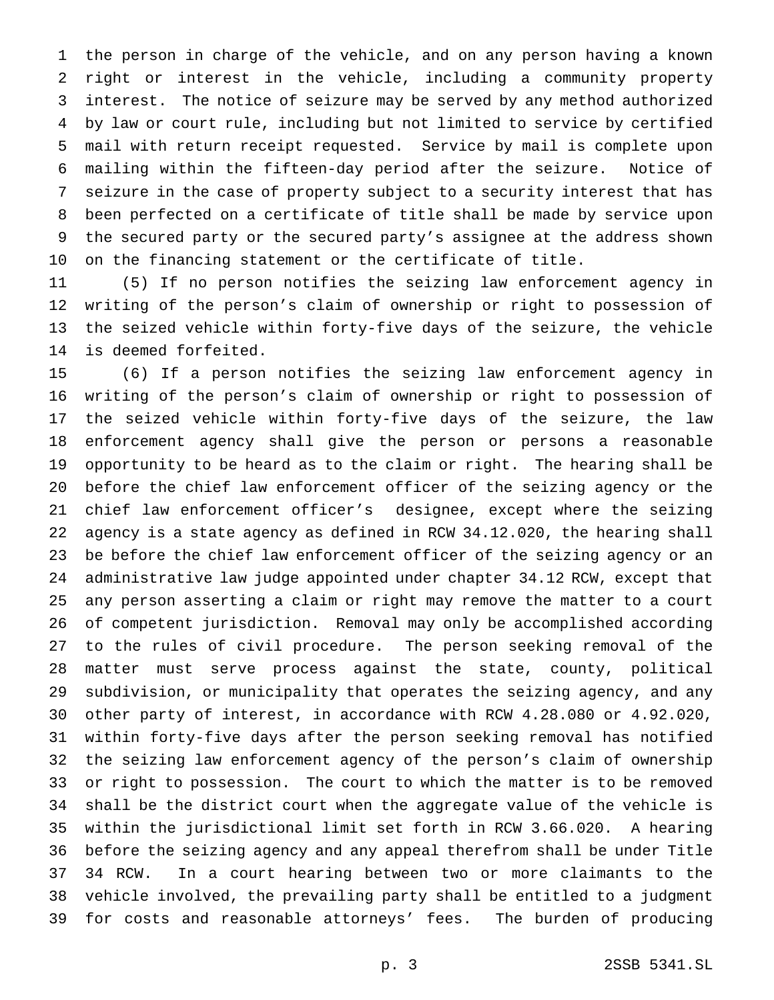the person in charge of the vehicle, and on any person having a known right or interest in the vehicle, including a community property interest. The notice of seizure may be served by any method authorized by law or court rule, including but not limited to service by certified mail with return receipt requested. Service by mail is complete upon mailing within the fifteen-day period after the seizure. Notice of seizure in the case of property subject to a security interest that has been perfected on a certificate of title shall be made by service upon the secured party or the secured party's assignee at the address shown on the financing statement or the certificate of title.

 (5) If no person notifies the seizing law enforcement agency in writing of the person's claim of ownership or right to possession of the seized vehicle within forty-five days of the seizure, the vehicle is deemed forfeited.

 (6) If a person notifies the seizing law enforcement agency in writing of the person's claim of ownership or right to possession of the seized vehicle within forty-five days of the seizure, the law enforcement agency shall give the person or persons a reasonable opportunity to be heard as to the claim or right. The hearing shall be before the chief law enforcement officer of the seizing agency or the chief law enforcement officer's designee, except where the seizing agency is a state agency as defined in RCW 34.12.020, the hearing shall be before the chief law enforcement officer of the seizing agency or an administrative law judge appointed under chapter 34.12 RCW, except that any person asserting a claim or right may remove the matter to a court of competent jurisdiction. Removal may only be accomplished according to the rules of civil procedure. The person seeking removal of the matter must serve process against the state, county, political subdivision, or municipality that operates the seizing agency, and any other party of interest, in accordance with RCW 4.28.080 or 4.92.020, within forty-five days after the person seeking removal has notified the seizing law enforcement agency of the person's claim of ownership or right to possession. The court to which the matter is to be removed shall be the district court when the aggregate value of the vehicle is within the jurisdictional limit set forth in RCW 3.66.020. A hearing before the seizing agency and any appeal therefrom shall be under Title 34 RCW. In a court hearing between two or more claimants to the vehicle involved, the prevailing party shall be entitled to a judgment for costs and reasonable attorneys' fees. The burden of producing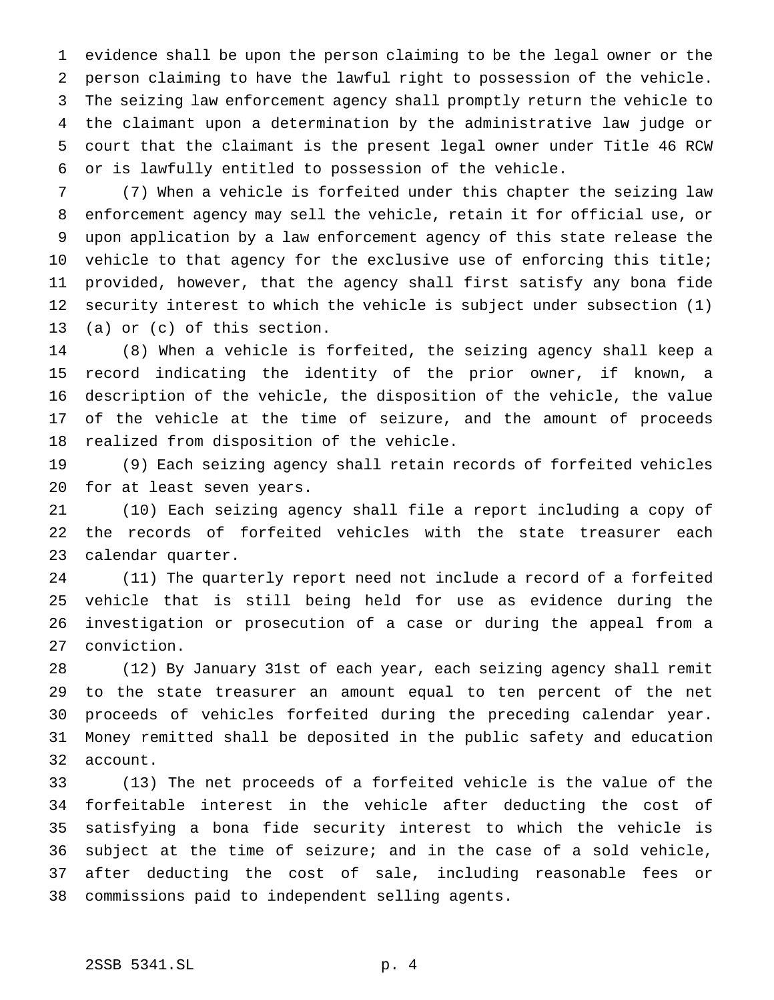evidence shall be upon the person claiming to be the legal owner or the person claiming to have the lawful right to possession of the vehicle. The seizing law enforcement agency shall promptly return the vehicle to the claimant upon a determination by the administrative law judge or court that the claimant is the present legal owner under Title 46 RCW or is lawfully entitled to possession of the vehicle.

 (7) When a vehicle is forfeited under this chapter the seizing law enforcement agency may sell the vehicle, retain it for official use, or upon application by a law enforcement agency of this state release the 10 vehicle to that agency for the exclusive use of enforcing this title; provided, however, that the agency shall first satisfy any bona fide security interest to which the vehicle is subject under subsection (1) (a) or (c) of this section.

 (8) When a vehicle is forfeited, the seizing agency shall keep a record indicating the identity of the prior owner, if known, a description of the vehicle, the disposition of the vehicle, the value of the vehicle at the time of seizure, and the amount of proceeds realized from disposition of the vehicle.

 (9) Each seizing agency shall retain records of forfeited vehicles for at least seven years.

 (10) Each seizing agency shall file a report including a copy of the records of forfeited vehicles with the state treasurer each calendar quarter.

 (11) The quarterly report need not include a record of a forfeited vehicle that is still being held for use as evidence during the investigation or prosecution of a case or during the appeal from a conviction.

 (12) By January 31st of each year, each seizing agency shall remit to the state treasurer an amount equal to ten percent of the net proceeds of vehicles forfeited during the preceding calendar year. Money remitted shall be deposited in the public safety and education account.

 (13) The net proceeds of a forfeited vehicle is the value of the forfeitable interest in the vehicle after deducting the cost of satisfying a bona fide security interest to which the vehicle is subject at the time of seizure; and in the case of a sold vehicle, after deducting the cost of sale, including reasonable fees or commissions paid to independent selling agents.